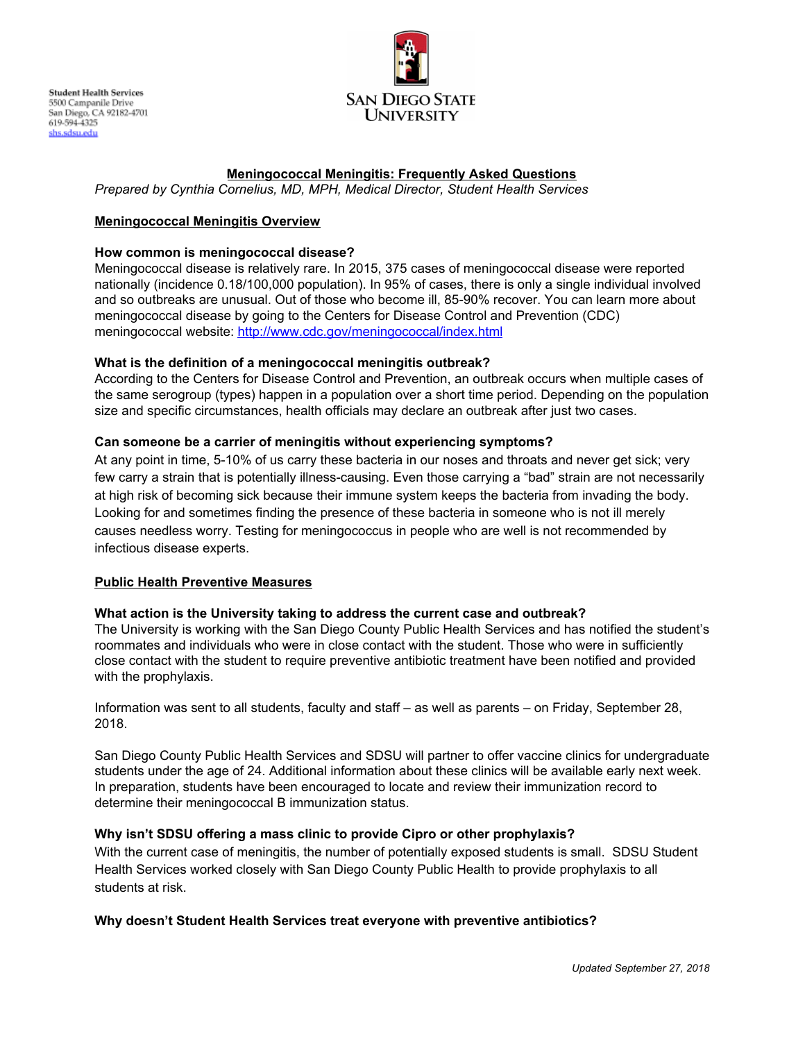

# **Meningococcal Meningitis: Frequently Asked Questions**

*Prepared by Cynthia Cornelius, MD, MPH, Medical Director, Student Health Services*

## **Meningococcal Meningitis Overview**

#### **How common is meningococcal disease?**

Meningococcal disease is relatively rare. In 2015, 375 cases of meningococcal disease were reported nationally (incidence 0.18/100,000 population). In 95% of cases, there is only a single individual involved and so outbreaks are unusual. Out of those who become ill, 85-90% recover. You can learn more about meningococcal disease by going to the Centers for Disease Control and Prevention (CDC) meningococcal website: <http://www.cdc.gov/meningococcal/index.html>

#### **What is the definition of a meningococcal meningitis outbreak?**

According to the Centers for Disease Control and Prevention, an outbreak occurs when multiple cases of the same serogroup (types) happen in a population over a short time period. Depending on the population size and specific circumstances, health officials may declare an outbreak after just two cases.

## **Can someone be a carrier of meningitis without experiencing symptoms?**

At any point in time, 5-10% of us carry these bacteria in our noses and throats and never get sick; very few carry a strain that is potentially illness-causing. Even those carrying a "bad" strain are not necessarily at high risk of becoming sick because their immune system keeps the bacteria from invading the body. Looking for and sometimes finding the presence of these bacteria in someone who is not ill merely causes needless worry. Testing for meningococcus in people who are well is not recommended by infectious disease experts.

## **Public Health Preventive Measures**

## **What action is the University taking to address the current case and outbreak?**

The University is working with the San Diego County Public Health Services and has notified the student's roommates and individuals who were in close contact with the student. Those who were in sufficiently close contact with the student to require preventive antibiotic treatment have been notified and provided with the prophylaxis.

Information was sent to all students, faculty and staff – as well as parents – on Friday, September 28, 2018.

San Diego County Public Health Services and SDSU will partner to offer vaccine clinics for undergraduate students under the age of 24. Additional information about these clinics will be available early next week. In preparation, students have been encouraged to locate and review their immunization record to determine their meningococcal B immunization status.

#### **Why isn't SDSU offering a mass clinic to provide Cipro or other prophylaxis?**

With the current case of meningitis, the number of potentially exposed students is small. SDSU Student Health Services worked closely with San Diego County Public Health to provide prophylaxis to all students at risk.

## **Why doesn't Student Health Services treat everyone with preventive antibiotics?**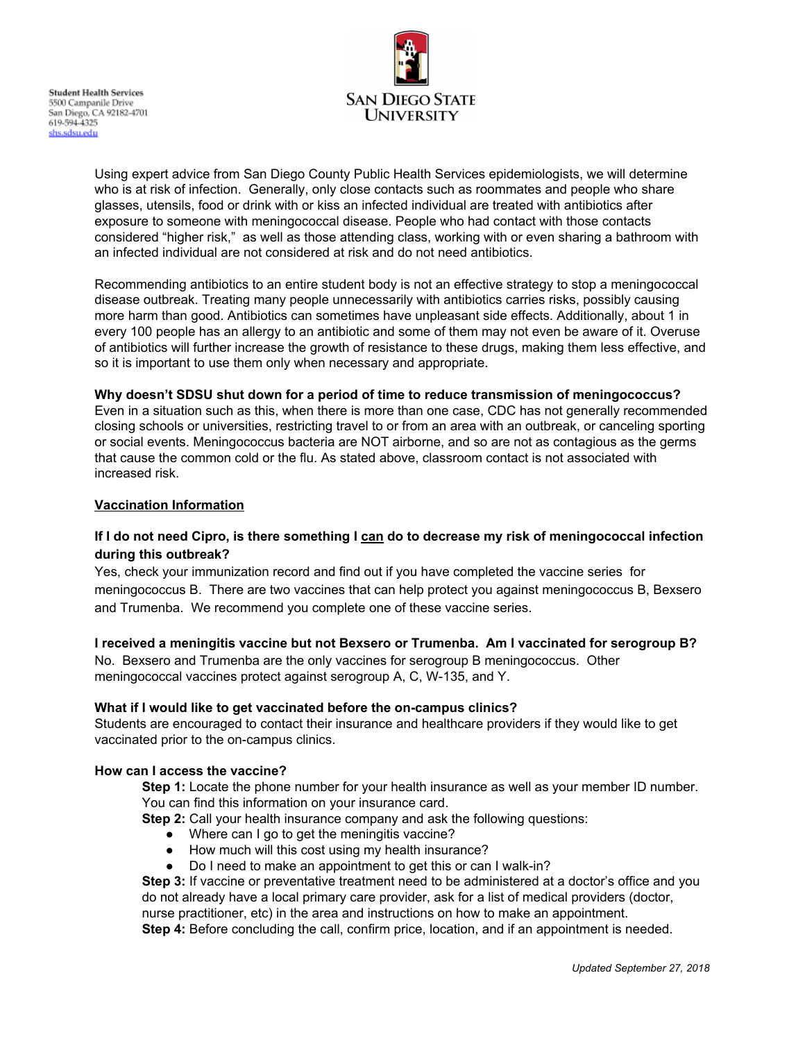

Using expert advice from San Diego County Public Health Services epidemiologists, we will determine who is at risk of infection. Generally, only close contacts such as roommates and people who share glasses, utensils, food or drink with or kiss an infected individual are treated with antibiotics after exposure to someone with meningococcal disease. People who had contact with those contacts considered "higher risk," as well as those attending class, working with or even sharing a bathroom with an infected individual are not considered at risk and do not need antibiotics.

Recommending antibiotics to an entire student body is not an effective strategy to stop a meningococcal disease outbreak. Treating many people unnecessarily with antibiotics carries risks, possibly causing more harm than good. Antibiotics can sometimes have unpleasant side effects. Additionally, about 1 in every 100 people has an allergy to an antibiotic and some of them may not even be aware of it. Overuse of antibiotics will further increase the growth of resistance to these drugs, making them less effective, and so it is important to use them only when necessary and appropriate.

## **Why doesn't SDSU shut down for a period of time to reduce transmission of meningococcus?**

Even in a situation such as this, when there is more than one case, CDC has not generally recommended closing schools or universities, restricting travel to or from an area with an outbreak, or canceling sporting or social events. Meningococcus bacteria are NOT airborne, and so are not as contagious as the germs that cause the common cold or the flu. As stated above, classroom contact is not associated with increased risk.

#### **Vaccination Information**

# If I do not need Cipro, is there something I can do to decrease my risk of meningococcal infection **during this outbreak?**

Yes, check your immunization record and find out if you have completed the vaccine series for meningococcus B. There are two vaccines that can help protect you against meningococcus B, Bexsero and Trumenba. We recommend you complete one of these vaccine series.

## **I received a meningitis vaccine but not Bexsero or Trumenba. Am I vaccinated for serogroup B?**

No. Bexsero and Trumenba are the only vaccines for serogroup B meningococcus. Other meningococcal vaccines protect against serogroup A, C, W-135, and Y.

## **What if I would like to get vaccinated before the on-campus clinics?**

Students are encouraged to contact their insurance and healthcare providers if they would like to get vaccinated prior to the on-campus clinics.

## **How can I access the vaccine?**

**Step 1:** Locate the phone number for your health insurance as well as your member ID number. You can find this information on your insurance card.

**Step 2:** Call your health insurance company and ask the following questions:

- Where can I go to get the meningitis vaccine?
- How much will this cost using my health insurance?
- Do I need to make an appointment to get this or can I walk-in?

**Step 3:** If vaccine or preventative treatment need to be administered at a doctor's office and you do not already have a local primary care provider, ask for a list of medical providers (doctor, nurse practitioner, etc) in the area and instructions on how to make an appointment.

**Step 4:** Before concluding the call, confirm price, location, and if an appointment is needed.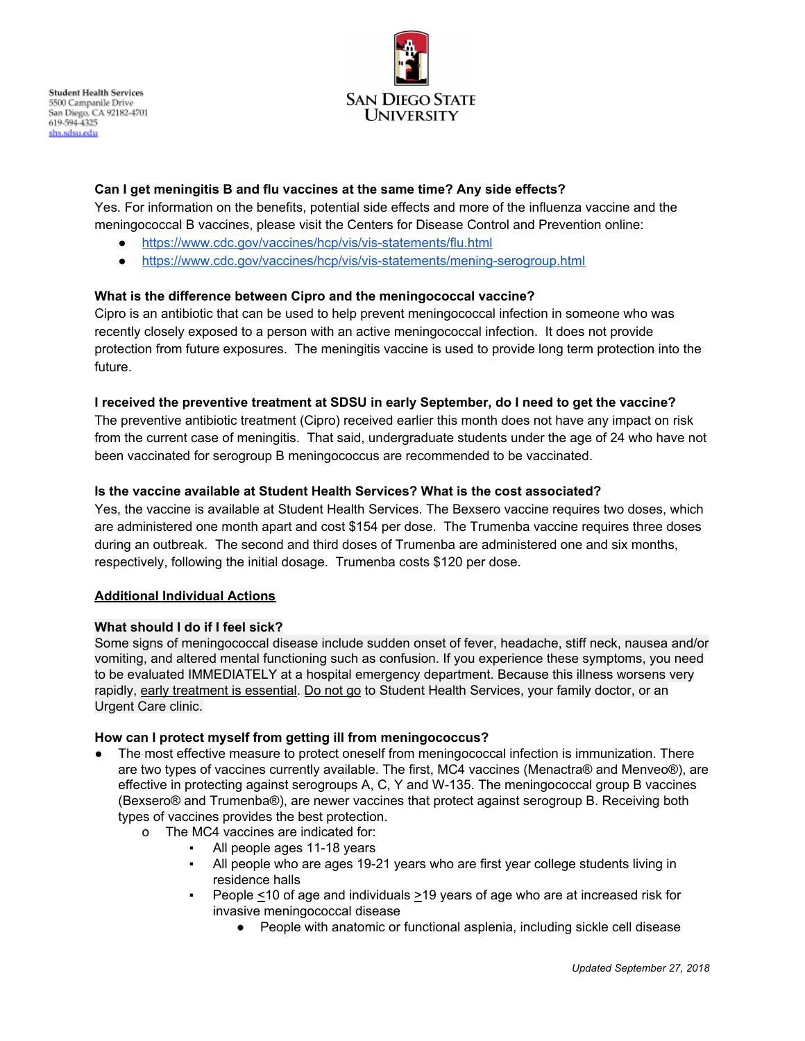

# **Can I get meningitis B and flu vaccines at the same time? Any side effects?**

Yes. For information on the benefits, potential side effects and more of the influenza vaccine and the meningococcal B vaccines, please visit the Centers for Disease Control and Prevention online:

- <https://www.cdc.gov/vaccines/hcp/vis/vis-statements/flu.html>
- <https://www.cdc.gov/vaccines/hcp/vis/vis-statements/mening-serogroup.html>

# **What is the difference between Cipro and the meningococcal vaccine?**

Cipro is an antibiotic that can be used to help prevent meningococcal infection in someone who was recently closely exposed to a person with an active meningococcal infection. It does not provide protection from future exposures. The meningitis vaccine is used to provide long term protection into the future.

# **I received the preventive treatment at SDSU in early September, do I need to get the vaccine?**

The preventive antibiotic treatment (Cipro) received earlier this month does not have any impact on risk from the current case of meningitis. That said, undergraduate students under the age of 24 who have not been vaccinated for serogroup B meningococcus are recommended to be vaccinated.

# **Is the vaccine available at Student Health Services? What is the cost associated?**

Yes, the vaccine is available at Student Health Services. The Bexsero vaccine requires two doses, which are administered one month apart and cost \$154 per dose. The Trumenba vaccine requires three doses during an outbreak. The second and third doses of Trumenba are administered one and six months, respectively, following the initial dosage. Trumenba costs \$120 per dose.

## **Additional Individual Actions**

## **What should I do if I feel sick?**

Some signs of meningococcal disease include sudden onset of fever, headache, stiff neck, nausea and/or vomiting, and altered mental functioning such as confusion. If you experience these symptoms, you need to be evaluated IMMEDIATELY at a hospital emergency department. Because this illness worsens very rapidly, early treatment is essential. Do not go to Student Health Services, your family doctor, or an Urgent Care clinic.

## **How can I protect myself from getting ill from meningococcus?**

- The most effective measure to protect oneself from meningococcal infection is immunization. There are two types of vaccines currently available. The first, MC4 vaccines (Menactra® and Menveo®), are effective in protecting against serogroups A, C, Y and W-135. The meningococcal group B vaccines (Bexsero® and Trumenba®), are newer vaccines that protect against serogroup B. Receiving both types of vaccines provides the best protection.
	- o The MC4 vaccines are indicated for:
		- All people ages 11-18 years
		- All people who are ages 19-21 years who are first year college students living in residence halls
		- People  $\leq$ 10 of age and individuals  $\geq$ 19 years of age who are at increased risk for invasive meningococcal disease
			- People with anatomic or functional asplenia, including sickle cell disease